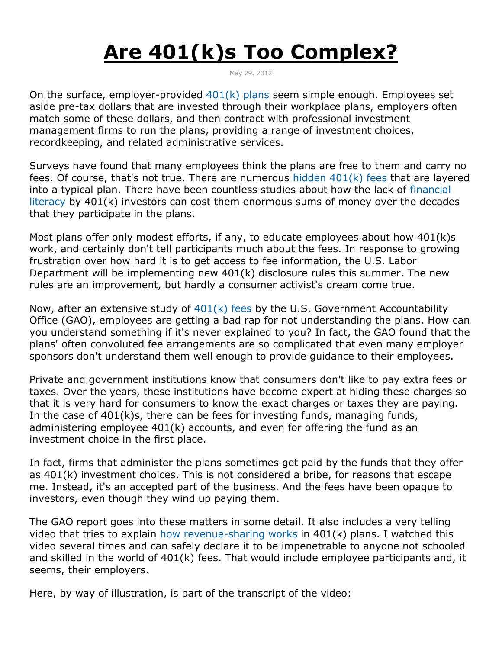## **Are 401(k)s Too Complex?**

May 29, 2012

On the surface, employer-provided  $401(k)$  plans seem simple enough. Employees set aside pre-tax dollars that are invested through their workplace plans, employers often match some of these dollars, and then contract with professional investment management firms to run the plans, providing a range of investment choices, recordkeeping, and related administrative services.

Surveys have found that many employees think the plans are free to them and carry no fees. Of course, that's not true. There are numerous hidden  $401(k)$  fees that are layered into a typical plan. There have been countless studies about how the lack of [financial](http://money.usnews.com/money/blogs/the-best-life/2012/05/14/is-it-time-to-rethink-401ks)  [literacy](http://money.usnews.com/money/blogs/the-best-life/2012/05/14/is-it-time-to-rethink-401ks) by 401(k) investors can cost them enormous sums of money over the decades that they participate in the plans.

Most plans offer only modest efforts, if any, to educate employees about how 401(k)s work, and certainly don't tell participants much about the fees. In response to growing frustration over how hard it is to get access to fee information, the U.S. Labor Department will be implementing new 401(k) disclosure rules this summer. The new rules are an improvement, but hardly a consumer activist's dream come true.

Now, after an extensive study of [401\(k\) fees](http://www.gao.gov/products/GAO-12-325?source=ra) by the U.S. Government Accountability Office (GAO), employees are getting a bad rap for not understanding the plans. How can you understand something if it's never explained to you? In fact, the GAO found that the plans' often convoluted fee arrangements are so complicated that even many employer sponsors don't understand them well enough to provide guidance to their employees.

Private and government institutions know that consumers don't like to pay extra fees or taxes. Over the years, these institutions have become expert at hiding these charges so that it is very hard for consumers to know the exact charges or taxes they are paying. In the case of 401(k)s, there can be fees for investing funds, managing funds, administering employee 401(k) accounts, and even for offering the fund as an investment choice in the first place.

In fact, firms that administer the plans sometimes get paid by the funds that they offer as 401(k) investment choices. This is not considered a bribe, for reasons that escape me. Instead, it's an accepted part of the business. And the fees have been opaque to investors, even though they wind up paying them.

The GAO report goes into these matters in some detail. It also includes a very telling video that tries to explain [how revenue-sharing works](http://www.gao.gov/multimedia/video/#video_id=590296) in 401(k) plans. I watched this video several times and can safely declare it to be impenetrable to anyone not schooled and skilled in the world of 401(k) fees. That would include employee participants and, it seems, their employers.

Here, by way of illustration, is part of the transcript of the video: